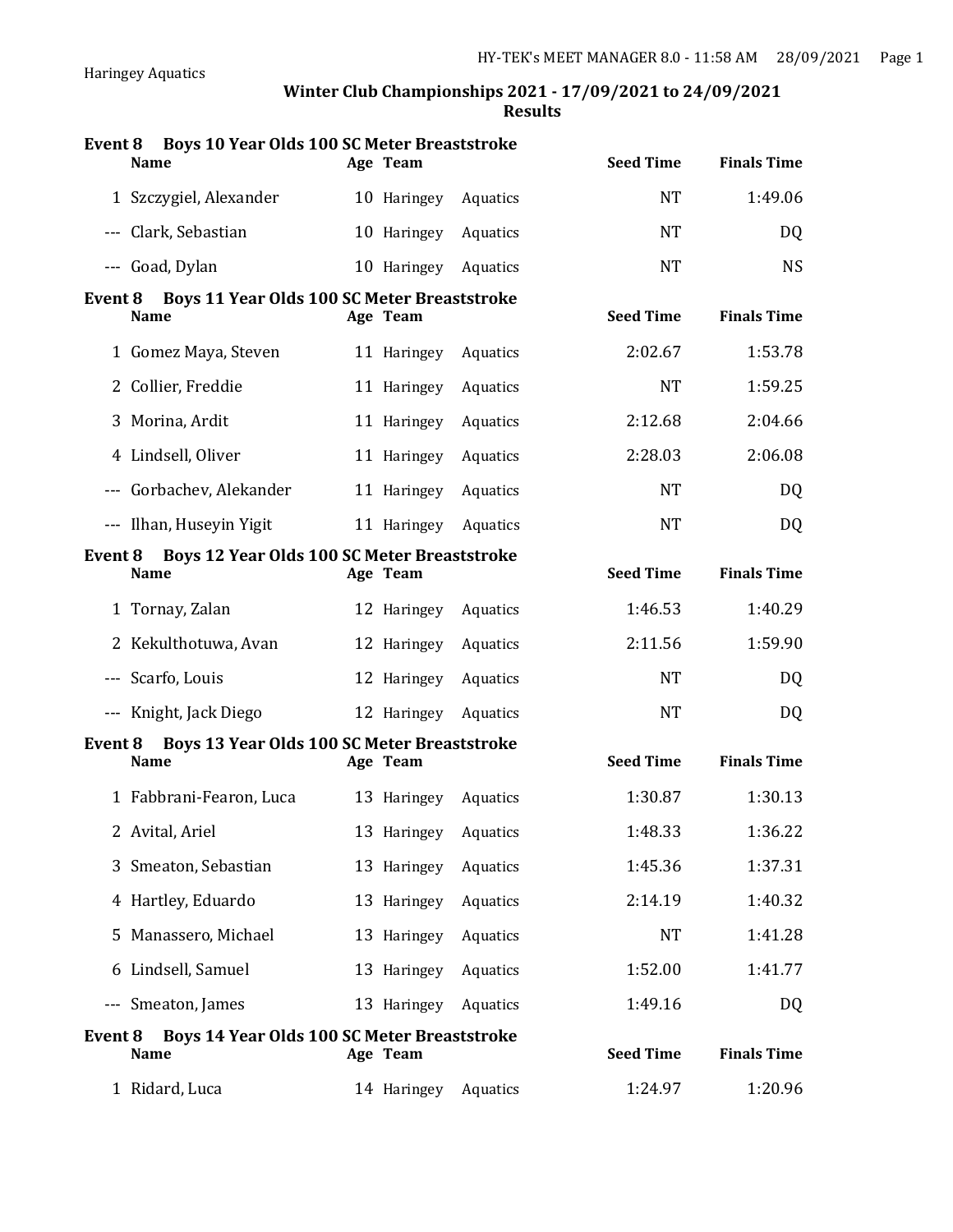| <b>Event 8</b> | Boys 10 Year Olds 100 SC Meter Breaststroke<br><b>Name</b>        | Age Team             |          | <b>Seed Time</b> | <b>Finals Time</b> |
|----------------|-------------------------------------------------------------------|----------------------|----------|------------------|--------------------|
|                | 1 Szczygiel, Alexander                                            | 10 Haringey          | Aquatics | <b>NT</b>        | 1:49.06            |
|                | --- Clark, Sebastian                                              | 10 Haringey          | Aquatics | <b>NT</b>        | <b>DQ</b>          |
|                | --- Goad, Dylan                                                   | 10 Haringey          | Aquatics | <b>NT</b>        | <b>NS</b>          |
| Event 8        | <b>Boys 11 Year Olds 100 SC Meter Breaststroke</b><br><b>Name</b> | Age Team             |          | <b>Seed Time</b> | <b>Finals Time</b> |
|                | 1 Gomez Maya, Steven                                              | 11 Haringey          | Aquatics | 2:02.67          | 1:53.78            |
|                | 2 Collier, Freddie                                                | 11 Haringey          | Aquatics | <b>NT</b>        | 1:59.25            |
| 3              | Morina, Ardit                                                     | 11 Haringey          | Aquatics | 2:12.68          | 2:04.66            |
|                | 4 Lindsell, Oliver                                                | 11 Haringey          | Aquatics | 2:28.03          | 2:06.08            |
|                | --- Gorbachev, Alekander                                          | 11 Haringey          | Aquatics | <b>NT</b>        | <b>DQ</b>          |
|                | --- Ilhan, Huseyin Yigit                                          | 11 Haringey          | Aquatics | <b>NT</b>        | <b>DQ</b>          |
| Event 8        | <b>Boys 12 Year Olds 100 SC Meter Breaststroke</b><br><b>Name</b> | Age Team             |          | <b>Seed Time</b> | <b>Finals Time</b> |
|                | 1 Tornay, Zalan                                                   | 12 Haringey          | Aquatics | 1:46.53          | 1:40.29            |
|                | 2 Kekulthotuwa, Avan                                              | 12 Haringey          | Aquatics | 2:11.56          | 1:59.90            |
|                | --- Scarfo, Louis                                                 | 12 Haringey          | Aquatics | <b>NT</b>        | <b>DQ</b>          |
|                | --- Knight, Jack Diego                                            | 12 Haringey          | Aquatics | <b>NT</b>        | <b>DQ</b>          |
| Event 8        | <b>Boys 13 Year Olds 100 SC Meter Breaststroke</b><br><b>Name</b> | Age Team             |          | <b>Seed Time</b> | <b>Finals Time</b> |
|                | 1 Fabbrani-Fearon, Luca                                           | 13 Haringey Aquatics |          | 1:30.87          | 1:30.13            |
|                | 2 Avital, Ariel                                                   | 13 Haringey Aquatics |          | 1:48.33          | 1:36.22            |
| 3              | Smeaton, Sebastian                                                | 13 Haringey          | Aquatics | 1:45.36          | 1:37.31            |
|                | 4 Hartley, Eduardo                                                | 13 Haringey          | Aquatics | 2:14.19          | 1:40.32            |
| 5              | Manassero, Michael                                                | 13 Haringey          | Aquatics | <b>NT</b>        | 1:41.28            |
| 6              | Lindsell, Samuel                                                  | 13 Haringey          | Aquatics | 1:52.00          | 1:41.77            |
| $   \,$        | Smeaton, James                                                    | 13 Haringey          | Aquatics | 1:49.16          | DQ                 |
| <b>Event 8</b> | <b>Boys 14 Year Olds 100 SC Meter Breaststroke</b><br>Name        | Age Team             |          | <b>Seed Time</b> | <b>Finals Time</b> |
|                | 1 Ridard, Luca                                                    | 14 Haringey          | Aquatics | 1:24.97          | 1:20.96            |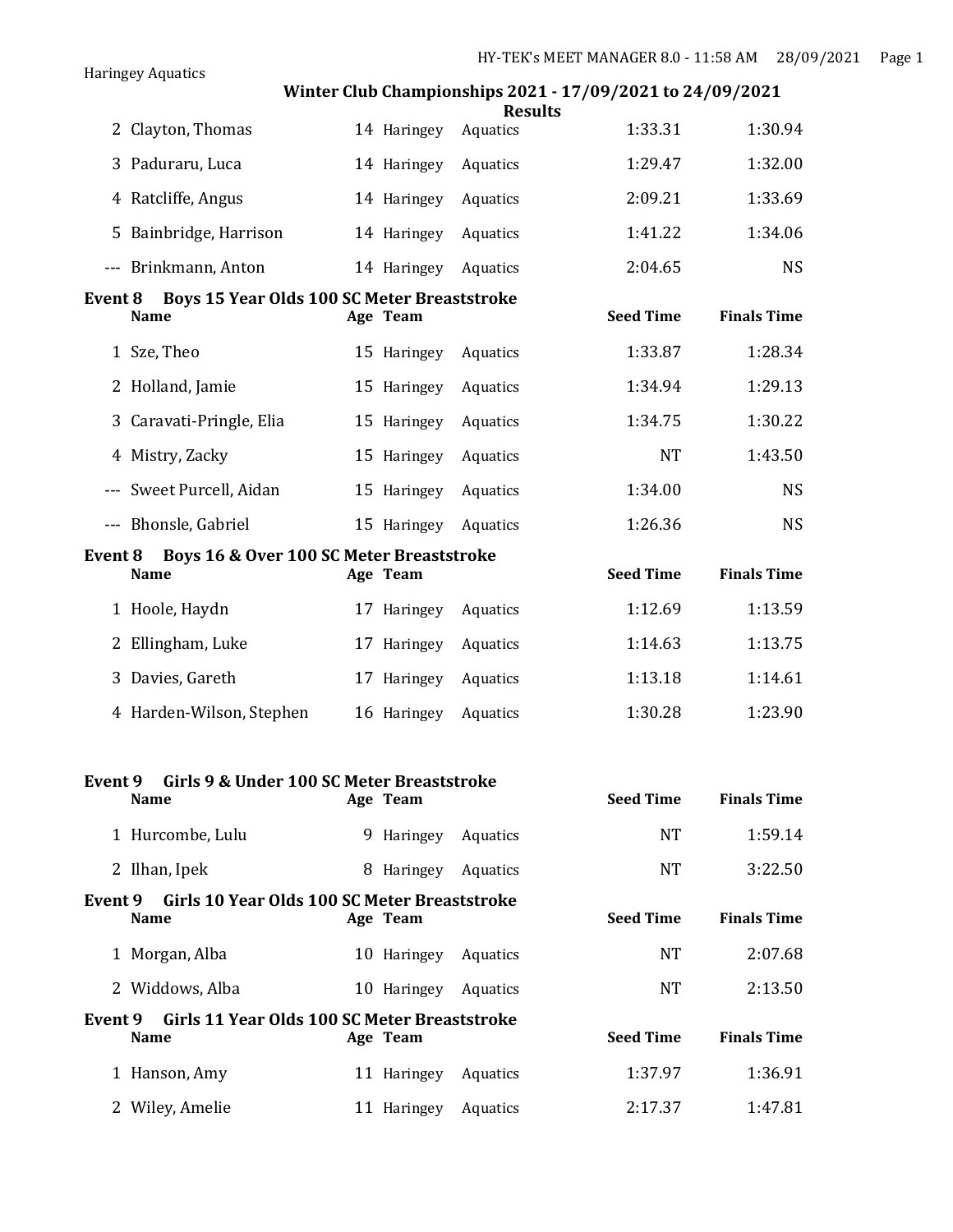|                |                                             |             | winter Club Championships 2021 - 17/09/2021 to 24/09/2021<br><b>Results</b> |                  |                    |
|----------------|---------------------------------------------|-------------|-----------------------------------------------------------------------------|------------------|--------------------|
|                | 2 Clayton, Thomas                           | 14 Haringey | Aquatics                                                                    | 1:33.31          | 1:30.94            |
| 3              | Paduraru, Luca                              | 14 Haringey | Aquatics                                                                    | 1:29.47          | 1:32.00            |
|                | 4 Ratcliffe, Angus                          | 14 Haringey | Aquatics                                                                    | 2:09.21          | 1:33.69            |
| 5.             | Bainbridge, Harrison                        | 14 Haringey | Aquatics                                                                    | 1:41.22          | 1:34.06            |
|                | --- Brinkmann, Anton                        | 14 Haringey | Aquatics                                                                    | 2:04.65          | <b>NS</b>          |
| <b>Event 8</b> | Boys 15 Year Olds 100 SC Meter Breaststroke |             |                                                                             |                  |                    |
|                | <b>Name</b>                                 | Age Team    |                                                                             | <b>Seed Time</b> | <b>Finals Time</b> |
|                | 1 Sze, Theo                                 | 15 Haringey | Aquatics                                                                    | 1:33.87          | 1:28.34            |
|                | 2 Holland, Jamie                            | 15 Haringey | Aquatics                                                                    | 1:34.94          | 1:29.13            |
| 3              | Caravati-Pringle, Elia                      | 15 Haringey | Aquatics                                                                    | 1:34.75          | 1:30.22            |
|                | 4 Mistry, Zacky                             | 15 Haringey | Aquatics                                                                    | <b>NT</b>        | 1:43.50            |
|                | --- Sweet Purcell, Aidan                    | 15 Haringey | Aquatics                                                                    | 1:34.00          | <b>NS</b>          |
|                | --- Bhonsle, Gabriel                        | 15 Haringey | Aquatics                                                                    | 1:26.36          | <b>NS</b>          |
| Event 8        | Boys 16 & Over 100 SC Meter Breaststroke    |             |                                                                             |                  |                    |
|                | <b>Name</b>                                 | Age Team    |                                                                             | <b>Seed Time</b> | <b>Finals Time</b> |
|                | 1 Hoole, Haydn                              | 17 Haringey | Aquatics                                                                    | 1:12.69          | 1:13.59            |
|                | 2 Ellingham, Luke                           | 17 Haringey | Aquatics                                                                    | 1:14.63          | 1:13.75            |
| 3              | Davies, Gareth                              | 17 Haringey | Aquatics                                                                    | 1:13.18          | 1:14.61            |
|                | 4 Harden-Wilson, Stephen                    | 16 Haringey | Aquatics                                                                    | 1:30.28          | 1:23.90            |

Haringey Aquatics

| Girls 9 & Under 100 SC Meter Breaststroke<br>Event 9                   |                |          |                  |                    |
|------------------------------------------------------------------------|----------------|----------|------------------|--------------------|
| <b>Name</b>                                                            | Age Team       |          | <b>Seed Time</b> | <b>Finals Time</b> |
| 1 Hurcombe, Lulu                                                       | 9 Haringey     | Aquatics | <b>NT</b>        | 1:59.14            |
| 2 Ilhan, Ipek                                                          | 8<br>Haringey  | Aquatics | <b>NT</b>        | 3:22.50            |
| Girls 10 Year Olds 100 SC Meter Breaststroke<br>Event 9<br><b>Name</b> | Age Team       |          | <b>Seed Time</b> | <b>Finals Time</b> |
| 1 Morgan, Alba                                                         | 10 Haringey    | Aquatics | <b>NT</b>        | 2:07.68            |
| 2 Widdows, Alba                                                        | 10 Haringey    | Aquatics | <b>NT</b>        | 2:13.50            |
| Girls 11 Year Olds 100 SC Meter Breaststroke<br>Event 9<br><b>Name</b> | Age Team       |          | <b>Seed Time</b> | <b>Finals Time</b> |
| 1 Hanson, Amy                                                          | 11 Haringey    | Aquatics | 1:37.97          | 1:36.91            |
| Wiley, Amelie                                                          | Haringey<br>11 | Aquatics | 2:17.37          | 1:47.81            |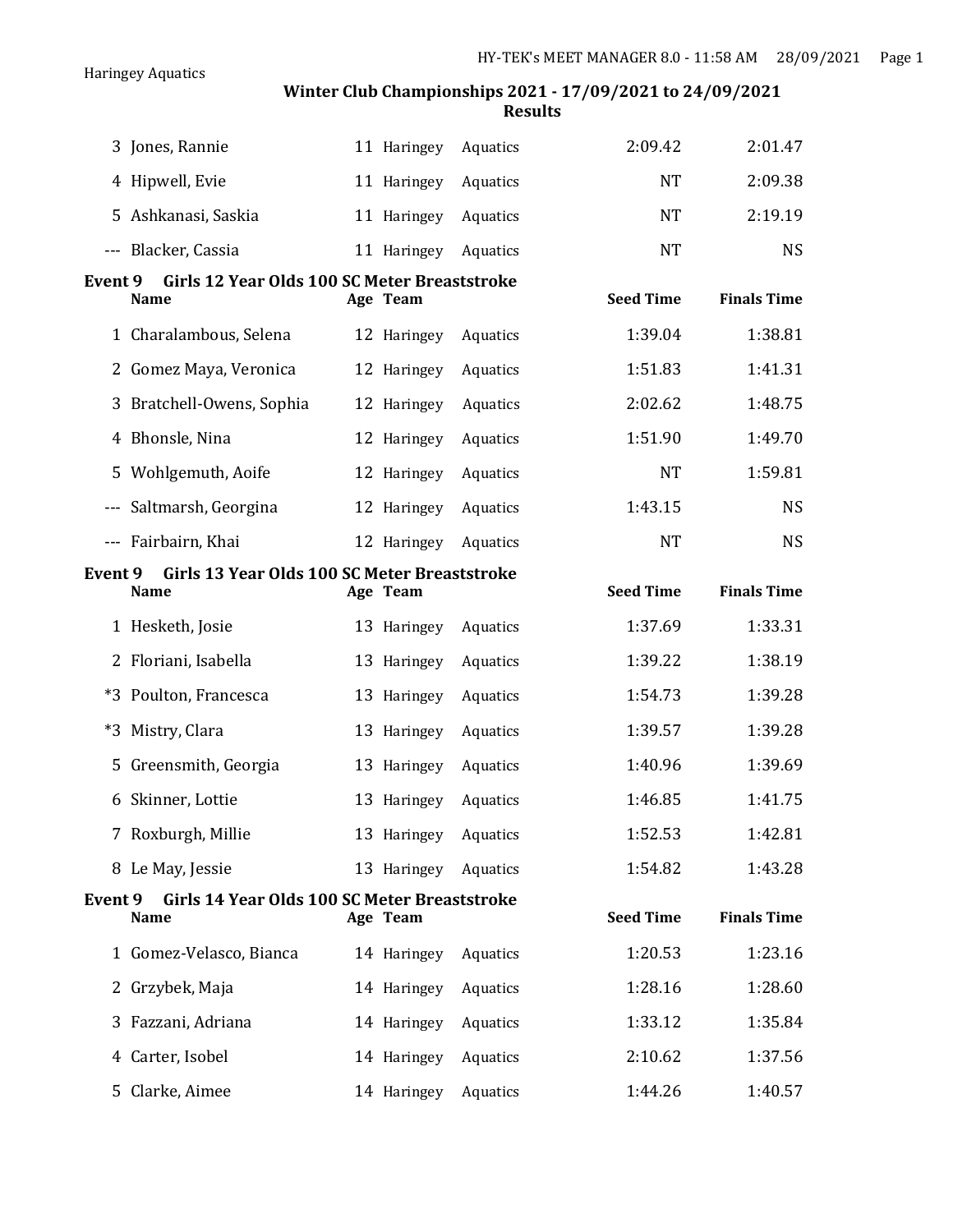|                          | 3 Jones, Rannie                                             | 11 Haringey | Aquatics | 2:09.42          | 2:01.47            |
|--------------------------|-------------------------------------------------------------|-------------|----------|------------------|--------------------|
|                          | 4 Hipwell, Evie                                             | 11 Haringey | Aquatics | <b>NT</b>        | 2:09.38            |
| 5                        | Ashkanasi, Saskia                                           | 11 Haringey | Aquatics | <b>NT</b>        | 2:19.19            |
|                          | --- Blacker, Cassia                                         | 11 Haringey | Aquatics | <b>NT</b>        | <b>NS</b>          |
| <b>Event 9</b>           | Girls 12 Year Olds 100 SC Meter Breaststroke<br><b>Name</b> | Age Team    |          | <b>Seed Time</b> | <b>Finals Time</b> |
|                          | 1 Charalambous, Selena                                      | 12 Haringey | Aquatics | 1:39.04          | 1:38.81            |
|                          | 2 Gomez Maya, Veronica                                      | 12 Haringey | Aquatics | 1:51.83          | 1:41.31            |
| 3                        | Bratchell-Owens, Sophia                                     | 12 Haringey | Aquatics | 2:02.62          | 1:48.75            |
| 4                        | Bhonsle, Nina                                               | 12 Haringey | Aquatics | 1:51.90          | 1:49.70            |
| 5                        | Wohlgemuth, Aoife                                           | 12 Haringey | Aquatics | <b>NT</b>        | 1:59.81            |
| $   \,$                  | Saltmarsh, Georgina                                         | 12 Haringey | Aquatics | 1:43.15          | <b>NS</b>          |
| $\overline{\phantom{a}}$ | Fairbairn, Khai                                             | 12 Haringey | Aquatics | <b>NT</b>        | <b>NS</b>          |
| <b>Event 9</b>           | Girls 13 Year Olds 100 SC Meter Breaststroke<br>Name        | Age Team    |          | <b>Seed Time</b> | <b>Finals Time</b> |
|                          |                                                             |             |          |                  |                    |
|                          | 1 Hesketh, Josie                                            | 13 Haringey | Aquatics | 1:37.69          | 1:33.31            |
| 2                        | Floriani, Isabella                                          | 13 Haringey | Aquatics | 1:39.22          | 1:38.19            |
|                          | *3 Poulton, Francesca                                       | 13 Haringey | Aquatics | 1:54.73          | 1:39.28            |
| $*3$                     | Mistry, Clara                                               | 13 Haringey | Aquatics | 1:39.57          | 1:39.28            |
| 5                        | Greensmith, Georgia                                         | 13 Haringey | Aquatics | 1:40.96          | 1:39.69            |
|                          | 6 Skinner, Lottie                                           | 13 Haringey | Aquatics | 1:46.85          | 1:41.75            |
|                          | 7 Roxburgh, Millie                                          | 13 Haringey | Aquatics | 1:52.53          | 1:42.81            |
|                          | 8 Le May, Jessie                                            | 13 Haringey | Aquatics | 1:54.82          | 1:43.28            |
| Event 9                  | Girls 14 Year Olds 100 SC Meter Breaststroke<br><b>Name</b> | Age Team    |          | <b>Seed Time</b> | <b>Finals Time</b> |
|                          | 1 Gomez-Velasco, Bianca                                     | 14 Haringey | Aquatics | 1:20.53          | 1:23.16            |
| 2                        | Grzybek, Maja                                               | 14 Haringey | Aquatics | 1:28.16          | 1:28.60            |
| 3                        | Fazzani, Adriana                                            | 14 Haringey | Aquatics | 1:33.12          | 1:35.84            |
| 4                        | Carter, Isobel                                              | 14 Haringey | Aquatics | 2:10.62          | 1:37.56            |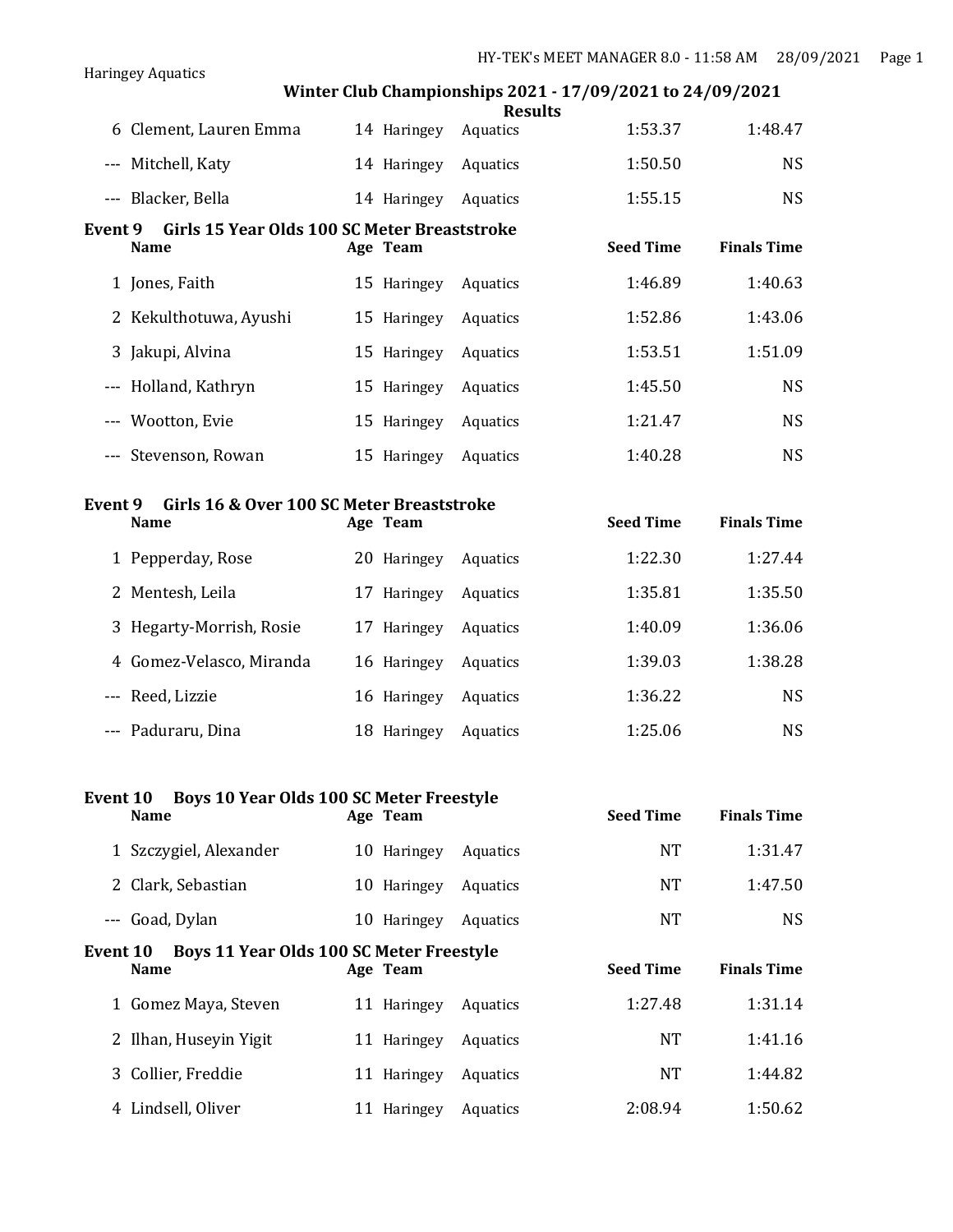# **Winter Club Championships 2021 - 17/09/2021 to 24/09/2021 Results** 6 Clement, Lauren Emma 14 Haringey Aquatics 1:53.37 1:48.47 --- Mitchell, Katy 14 Haringey Aquatics 1:50.50 NS --- Blacker, Bella 14 Haringey Aquatics 1:55.15 NS **Event 9 Girls 15 Year Olds 100 SC Meter Breaststroke Name Age Team Seed Time Finals Time** 1 Jones, Faith 15 Haringey Aquatics 1:46.89 1:40.63 2 Kekulthotuwa, Ayushi 15 Haringey Aquatics 1:52.86 1:43.06 3 Jakupi, Alvina 15 Haringey Aquatics 1:53.51 1:51.09 --- Holland, Kathryn 15 Haringey Aquatics 1:45.50 NS --- Wootton, Evie 15 Haringey Aquatics 1:21.47 NS --- Stevenson, Rowan 15 Haringey Aquatics 1:40.28 NS **Event 9 Girls 16 & Over 100 SC Meter Breaststroke Name Age Team Seed Time Finals Time** 1 Pepperday, Rose 20 Haringey Aquatics 1:22.30 1:27.44 2 Mentesh, Leila 17 Haringey Aquatics 1:35.81 1:35.50 3 Hegarty-Morrish, Rosie 17 Haringey Aquatics 1:40.09 1:36.06 4 Gomez-Velasco, Miranda 16 Haringey Aquatics 1:39.03 1:38.28 --- Reed, Lizzie 16 Haringey Aquatics 1:36.22 NS --- Paduraru, Dina 18 Haringey Aquatics 1:25.06 NS **Event 10 Boys 10 Year Olds 100 SC Meter Freestyle Name Age Team Seed Time Finals Time** 1 Szczygiel, Alexander 10 Haringey Aquatics NT 1:31.47 2 Clark, Sebastian 10 Haringey Aquatics NT 1:47.50 --- Goad, Dylan 10 Haringey Aquatics NT NT NS **Event 10 Boys 11 Year Olds 100 SC Meter Freestyle Name Age Team Seed Time Finals Time** 1 Gomez Maya, Steven 11 Haringey Aquatics 1:27.48 1:31.14 2 Ilhan, Huseyin Yigit 11 Haringey Aquatics NT 1:41.16 3 Collier, Freddie 11 Haringey Aquatics NT 1:44.82 4 Lindsell, Oliver 11 Haringey Aquatics 2:08.94 1:50.62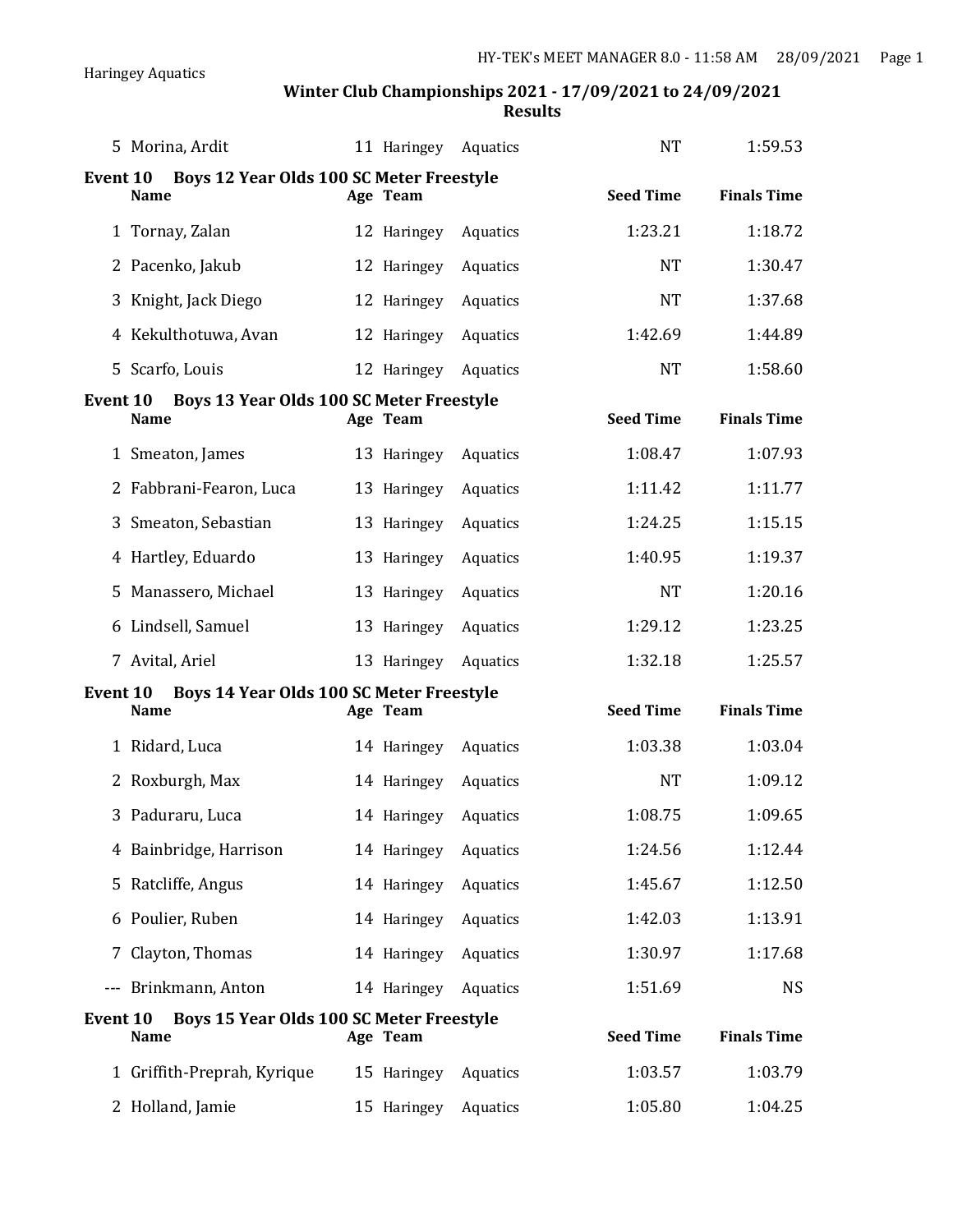| 5 Morina, Ardit                                                            | 11 Haringey | Aquatics | <b>NT</b>        | 1:59.53            |
|----------------------------------------------------------------------------|-------------|----------|------------------|--------------------|
| Boys 12 Year Olds 100 SC Meter Freestyle<br><b>Event 10</b><br><b>Name</b> | Age Team    |          | <b>Seed Time</b> | <b>Finals Time</b> |
| 1 Tornay, Zalan                                                            | 12 Haringey | Aquatics | 1:23.21          | 1:18.72            |
| Pacenko, Jakub<br>2                                                        | 12 Haringey | Aquatics | <b>NT</b>        | 1:30.47            |
| Knight, Jack Diego<br>3                                                    | 12 Haringey | Aquatics | <b>NT</b>        | 1:37.68            |
| Kekulthotuwa, Avan<br>4                                                    | 12 Haringey | Aquatics | 1:42.69          | 1:44.89            |
| 5 Scarfo, Louis                                                            | 12 Haringey | Aquatics | <b>NT</b>        | 1:58.60            |
| <b>Event 10</b><br>Boys 13 Year Olds 100 SC Meter Freestyle<br><b>Name</b> | Age Team    |          | <b>Seed Time</b> | <b>Finals Time</b> |
| 1 Smeaton, James                                                           | 13 Haringey | Aquatics | 1:08.47          | 1:07.93            |
| 2 Fabbrani-Fearon, Luca                                                    | 13 Haringey | Aquatics | 1:11.42          | 1:11.77            |
| Smeaton, Sebastian<br>3                                                    | 13 Haringey | Aquatics | 1:24.25          | 1:15.15            |
| 4 Hartley, Eduardo                                                         | 13 Haringey | Aquatics | 1:40.95          | 1:19.37            |
| Manassero, Michael<br>5                                                    | 13 Haringey | Aquatics | <b>NT</b>        | 1:20.16            |
| 6 Lindsell, Samuel                                                         | 13 Haringey | Aquatics | 1:29.12          | 1:23.25            |
| 7 Avital, Ariel                                                            | 13 Haringey | Aquatics | 1:32.18          | 1:25.57            |
| Boys 14 Year Olds 100 SC Meter Freestyle<br><b>Event 10</b><br>Name        | Age Team    |          | <b>Seed Time</b> | <b>Finals Time</b> |
| 1 Ridard, Luca                                                             | 14 Haringey | Aquatics | 1:03.38          | 1:03.04            |
| Roxburgh, Max<br>2                                                         | 14 Haringey | Aquatics | <b>NT</b>        | 1:09.12            |
| Paduraru, Luca<br>3                                                        | 14 Haringey | Aquatics | 1:08.75          | 1:09.65            |
| 4 Bainbridge, Harrison                                                     | 14 Haringey | Aquatics | 1:24.56          | 1:12.44            |
| Ratcliffe, Angus<br>5                                                      | 14 Haringey | Aquatics | 1:45.67          | 1:12.50            |
| 6 Poulier, Ruben                                                           | 14 Haringey | Aquatics | 1:42.03          | 1:13.91            |
| Clayton, Thomas<br>7                                                       | 14 Haringey | Aquatics | 1:30.97          | 1:17.68            |
| Brinkmann, Anton<br>$- - -$                                                | 14 Haringey | Aquatics | 1:51.69          | <b>NS</b>          |
| Boys 15 Year Olds 100 SC Meter Freestyle<br><b>Event 10</b><br><b>Name</b> | Age Team    |          | <b>Seed Time</b> | <b>Finals Time</b> |
| 1 Griffith-Preprah, Kyrique                                                | 15 Haringey | Aquatics | 1:03.57          | 1:03.79            |
| 2 Holland, Jamie                                                           | 15 Haringey | Aquatics | 1:05.80          | 1:04.25            |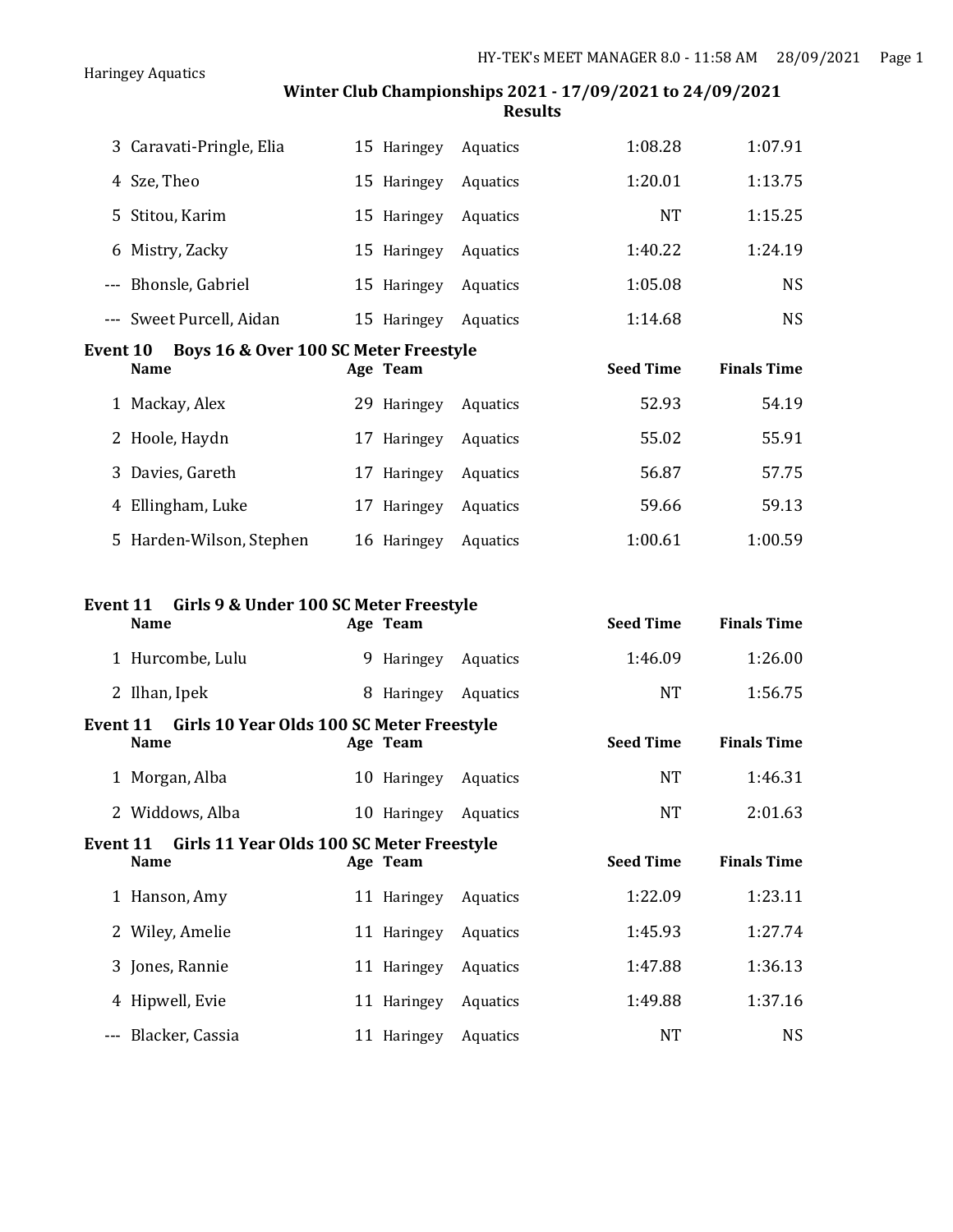|                 | 3 Caravati-Pringle, Elia                              | 15 Haringey | Aquatics | 1:08.28          | 1:07.91            |
|-----------------|-------------------------------------------------------|-------------|----------|------------------|--------------------|
|                 | 4 Sze, Theo                                           | 15 Haringey | Aquatics | 1:20.01          | 1:13.75            |
|                 | 5 Stitou, Karim                                       | 15 Haringey | Aquatics | <b>NT</b>        | 1:15.25            |
|                 | 6 Mistry, Zacky                                       | 15 Haringey | Aquatics | 1:40.22          | 1:24.19            |
|                 | --- Bhonsle, Gabriel                                  | 15 Haringey | Aquatics | 1:05.08          | <b>NS</b>          |
|                 | --- Sweet Purcell, Aidan                              | 15 Haringey | Aquatics | 1:14.68          | <b>NS</b>          |
| <b>Event 10</b> | Boys 16 & Over 100 SC Meter Freestyle                 |             |          |                  |                    |
|                 | <b>Name</b>                                           | Age Team    |          | <b>Seed Time</b> | <b>Finals Time</b> |
|                 | 1 Mackay, Alex                                        | 29 Haringey | Aquatics | 52.93            | 54.19              |
|                 | 2 Hoole, Haydn                                        | 17 Haringey | Aquatics | 55.02            | 55.91              |
|                 | 3 Davies, Gareth                                      | 17 Haringey | Aquatics | 56.87            | 57.75              |
|                 | 4 Ellingham, Luke                                     | 17 Haringey | Aquatics | 59.66            | 59.13              |
|                 | 5 Harden-Wilson, Stephen                              | 16 Haringey | Aquatics | 1:00.61          | 1:00.59            |
|                 |                                                       |             |          |                  |                    |
|                 |                                                       |             |          |                  |                    |
| Event 11        | Girls 9 & Under 100 SC Meter Freestyle<br><b>Name</b> | Age Team    |          | <b>Seed Time</b> | <b>Finals Time</b> |
|                 | 1 Hurcombe, Lulu                                      | 9 Haringey  | Aquatics | 1:46.09          | 1:26.00            |
|                 | 2 Ilhan, Ipek                                         | 8 Haringey  | Aquatics | <b>NT</b>        | 1:56.75            |
| Event 11        | Girls 10 Year Olds 100 SC Meter Freestyle             |             |          |                  |                    |
|                 | <b>Name</b>                                           | Age Team    |          | <b>Seed Time</b> | <b>Finals Time</b> |
|                 | 1 Morgan, Alba                                        | 10 Haringey | Aquatics | <b>NT</b>        | 1:46.31            |
|                 | 2 Widdows, Alba                                       | 10 Haringey | Aquatics | <b>NT</b>        | 2:01.63            |
| Event 11        | Girls 11 Year Olds 100 SC Meter Freestyle             |             |          |                  |                    |
|                 | <b>Name</b>                                           | Age Team    |          | <b>Seed Time</b> | <b>Finals Time</b> |
|                 | 1 Hanson, Amy                                         | 11 Haringey | Aquatics | 1:22.09          | 1:23.11            |
|                 | 2 Wiley, Amelie                                       | 11 Haringey | Aquatics | 1:45.93          | 1:27.74            |
|                 | 3 Jones, Rannie                                       | 11 Haringey | Aquatics | 1:47.88          | 1:36.13            |

--- Blacker, Cassia **11 Haringey Aquatics** MT NS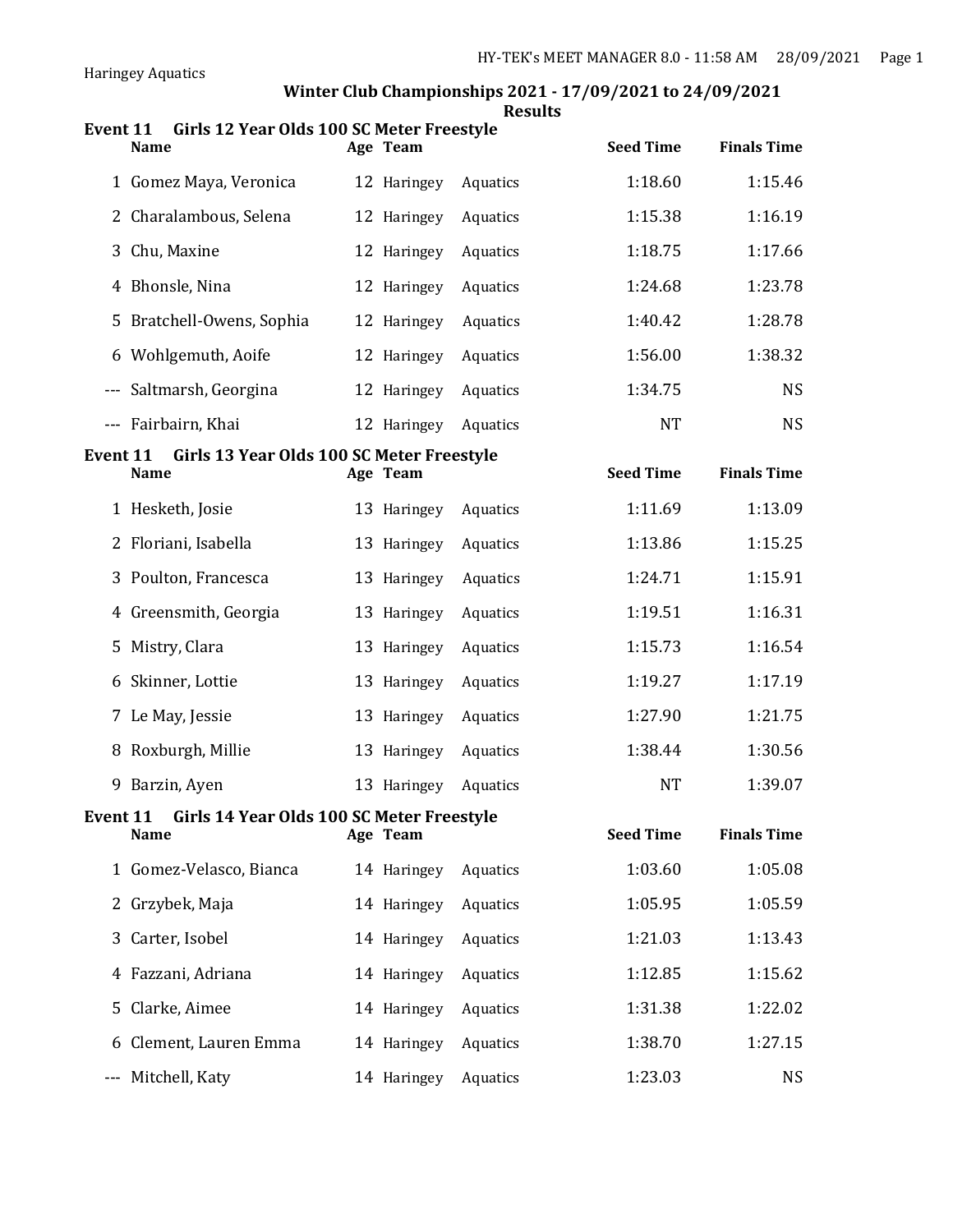|                 |                                                          |             | <b>Results</b> |                  |                    |
|-----------------|----------------------------------------------------------|-------------|----------------|------------------|--------------------|
| <b>Event 11</b> | Girls 12 Year Olds 100 SC Meter Freestyle<br><b>Name</b> | Age Team    |                | <b>Seed Time</b> | <b>Finals Time</b> |
|                 | 1 Gomez Maya, Veronica                                   | 12 Haringey | Aquatics       | 1:18.60          | 1:15.46            |
| 2               | Charalambous, Selena                                     | 12 Haringey | Aquatics       | 1:15.38          | 1:16.19            |
| 3               | Chu, Maxine                                              | 12 Haringey | Aquatics       | 1:18.75          | 1:17.66            |
| 4               | Bhonsle, Nina                                            | 12 Haringey | Aquatics       | 1:24.68          | 1:23.78            |
| 5               | Bratchell-Owens, Sophia                                  | 12 Haringey | Aquatics       | 1:40.42          | 1:28.78            |
| 6               | Wohlgemuth, Aoife                                        | 12 Haringey | Aquatics       | 1:56.00          | 1:38.32            |
|                 | --- Saltmarsh, Georgina                                  | 12 Haringey | Aquatics       | 1:34.75          | <b>NS</b>          |
|                 | --- Fairbairn, Khai                                      | 12 Haringey | Aquatics       | <b>NT</b>        | <b>NS</b>          |
| <b>Event 11</b> | Girls 13 Year Olds 100 SC Meter Freestyle<br><b>Name</b> | Age Team    |                | <b>Seed Time</b> | <b>Finals Time</b> |
|                 | 1 Hesketh, Josie                                         | 13 Haringey | Aquatics       | 1:11.69          | 1:13.09            |
| 2               | Floriani, Isabella                                       | 13 Haringey | Aquatics       | 1:13.86          | 1:15.25            |
| 3               | Poulton, Francesca                                       | 13 Haringey | Aquatics       | 1:24.71          | 1:15.91            |
| 4               | Greensmith, Georgia                                      | 13 Haringey | Aquatics       | 1:19.51          | 1:16.31            |
| 5               | Mistry, Clara                                            | 13 Haringey | Aquatics       | 1:15.73          | 1:16.54            |
| 6               | Skinner, Lottie                                          | 13 Haringey | Aquatics       | 1:19.27          | 1:17.19            |
| 7               | Le May, Jessie                                           | 13 Haringey | Aquatics       | 1:27.90          | 1:21.75            |
| 8               | Roxburgh, Millie                                         | 13 Haringey | Aquatics       | 1:38.44          | 1:30.56            |
| 9               | Barzin, Ayen                                             | 13 Haringey | Aquatics       | <b>NT</b>        | 1:39.07            |
| Event 11        | Girls 14 Year Olds 100 SC Meter Freestyle<br>Name        | Age Team    |                | <b>Seed Time</b> | <b>Finals Time</b> |
|                 | 1 Gomez-Velasco, Bianca                                  | 14 Haringey | Aquatics       | 1:03.60          | 1:05.08            |
| 2               | Grzybek, Maja                                            | 14 Haringey | Aquatics       | 1:05.95          | 1:05.59            |
| 3               | Carter, Isobel                                           | 14 Haringey | Aquatics       | 1:21.03          | 1:13.43            |
| 4               | Fazzani, Adriana                                         | 14 Haringey | Aquatics       | 1:12.85          | 1:15.62            |
| 5               | Clarke, Aimee                                            | 14 Haringey | Aquatics       | 1:31.38          | 1:22.02            |
| 6               | Clement, Lauren Emma                                     | 14 Haringey | Aquatics       | 1:38.70          | 1:27.15            |
|                 | Mitchell, Katy                                           | 14 Haringey | Aquatics       | 1:23.03          | <b>NS</b>          |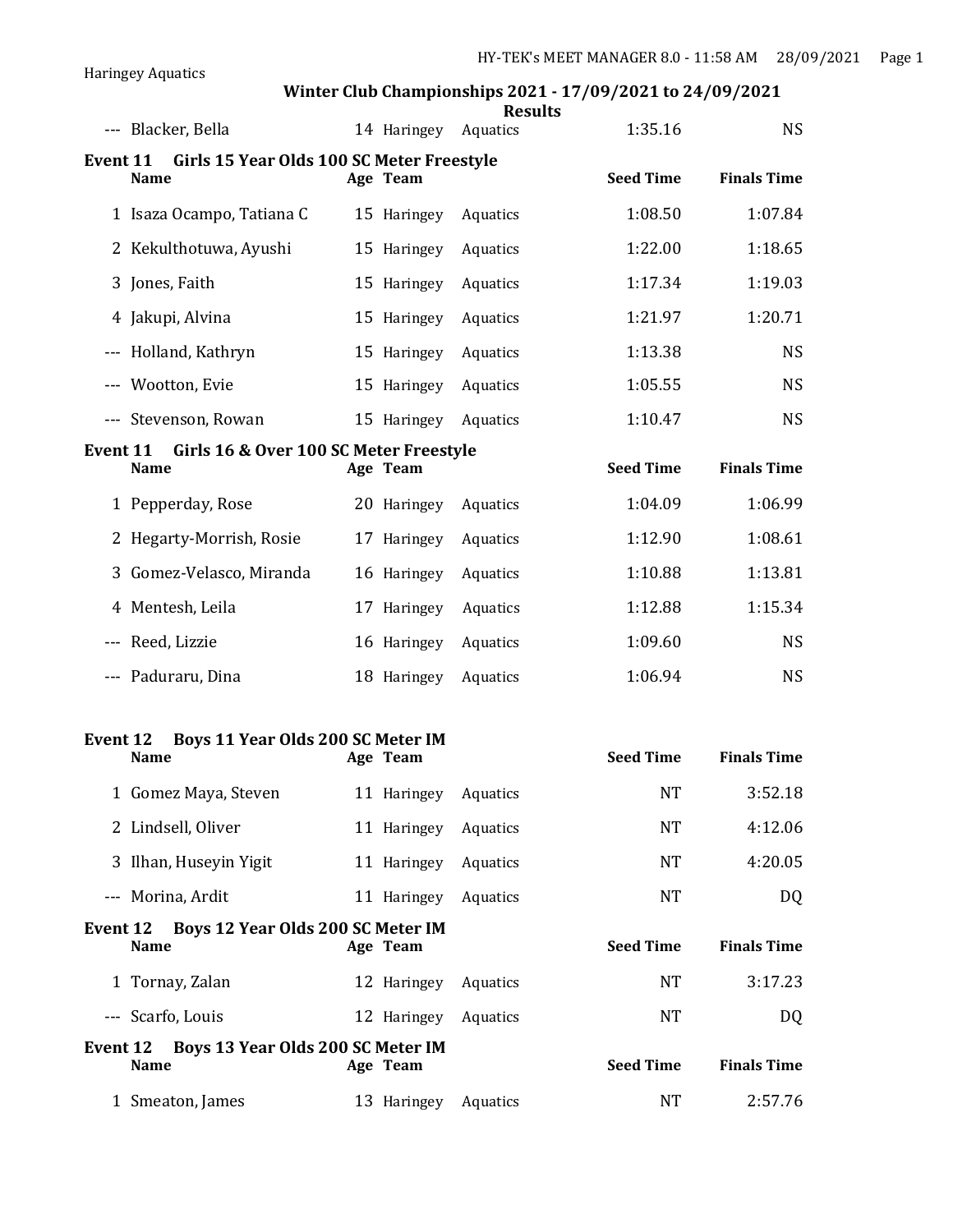|                                                                      |             | <b>Results</b> |                  |                    |
|----------------------------------------------------------------------|-------------|----------------|------------------|--------------------|
| --- Blacker, Bella                                                   | 14 Haringey | Aquatics       | 1:35.16          | <b>NS</b>          |
| Girls 15 Year Olds 100 SC Meter Freestyle<br>Event 11<br><b>Name</b> | Age Team    |                | <b>Seed Time</b> | <b>Finals Time</b> |
| 1 Isaza Ocampo, Tatiana C                                            | 15 Haringey | Aquatics       | 1:08.50          | 1:07.84            |
| 2 Kekulthotuwa, Ayushi                                               | 15 Haringey | Aquatics       | 1:22.00          | 1:18.65            |
| 3 Jones, Faith                                                       | 15 Haringey | Aquatics       | 1:17.34          | 1:19.03            |
| 4 Jakupi, Alvina                                                     | 15 Haringey | Aquatics       | 1:21.97          | 1:20.71            |
| --- Holland, Kathryn                                                 | 15 Haringey | Aquatics       | 1:13.38          | <b>NS</b>          |
| --- Wootton, Evie                                                    | 15 Haringey | Aquatics       | 1:05.55          | <b>NS</b>          |
| --- Stevenson, Rowan                                                 | 15 Haringey | Aquatics       | 1:10.47          | <b>NS</b>          |
| Girls 16 & Over 100 SC Meter Freestyle<br>Event 11                   |             |                |                  |                    |
| <b>Name</b>                                                          | Age Team    |                | <b>Seed Time</b> | <b>Finals Time</b> |
| 1 Pepperday, Rose                                                    | 20 Haringey | Aquatics       | 1:04.09          | 1:06.99            |
| 2 Hegarty-Morrish, Rosie                                             | 17 Haringey | Aquatics       | 1:12.90          | 1:08.61            |
| Gomez-Velasco, Miranda<br>3                                          | 16 Haringey | Aquatics       | 1:10.88          | 1:13.81            |
| 4 Mentesh, Leila                                                     | 17 Haringey | Aquatics       | 1:12.88          | 1:15.34            |
| --- Reed, Lizzie                                                     | 16 Haringey | Aquatics       | 1:09.60          | <b>NS</b>          |
| --- Paduraru, Dina                                                   | 18 Haringey | Aquatics       | 1:06.94          | <b>NS</b>          |
|                                                                      |             |                |                  |                    |
| <b>Event 12</b><br>Boys 11 Year Olds 200 SC Meter IM<br><b>Name</b>  | Age Team    |                | <b>Seed Time</b> | <b>Finals Time</b> |
|                                                                      |             |                |                  |                    |
| 1 Gomez Maya, Steven                                                 | 11 Haringey | Aquatics       | <b>NT</b>        | 3:52.18            |
| 2 Lindsell, Oliver                                                   | 11 Haringey | Aquatics       | <b>NT</b>        | 4:12.06            |
| Ilhan, Huseyin Yigit<br>3                                            | 11 Haringey | Aquatics       | <b>NT</b>        | 4:20.05            |
| --- Morina, Ardit                                                    | 11 Haringey | Aquatics       | <b>NT</b>        | DQ                 |
| Event 12<br>Boys 12 Year Olds 200 SC Meter IM<br><b>Name</b>         | Age Team    |                | <b>Seed Time</b> | <b>Finals Time</b> |
| 1 Tornay, Zalan                                                      | 12 Haringey | Aquatics       | NT.              | 3:17.23            |
| --- Scarfo, Louis                                                    | 12 Haringey | Aquatics       | <b>NT</b>        | DQ                 |
| Boys 13 Year Olds 200 SC Meter IM<br>Event 12                        |             |                |                  |                    |
| <b>Name</b>                                                          | Age Team    |                | <b>Seed Time</b> | <b>Finals Time</b> |
| 1 Smeaton, James                                                     | 13 Haringey | Aquatics       | NT               | 2:57.76            |